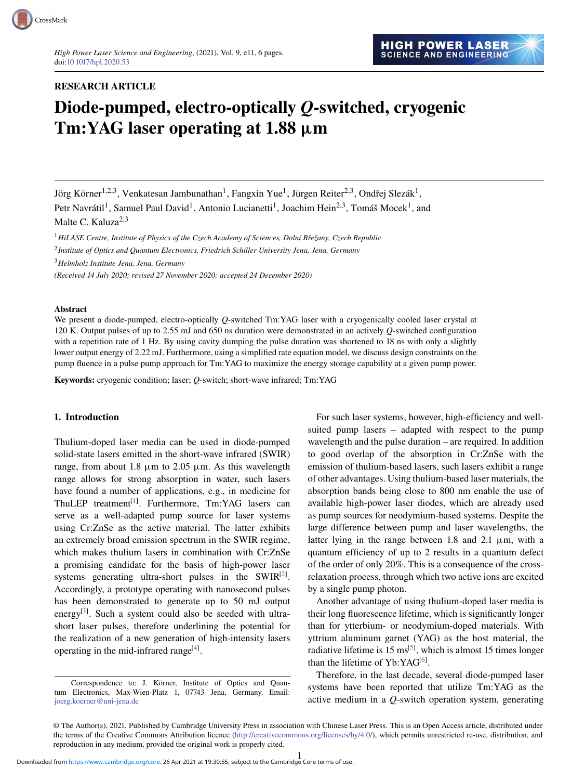# RESEARCH ARTICLE

# Diode-pumped, electro-optically *Q*-switched, cryogenic Tm:YAG laser operating at 1.88  $\mu$ m

Jörg Körner $^{1,2,3},$  Venkatesan Jambunathan $^{1},$  Fangxin Yue $^{1},$  Jürgen Reiter $^{2,3},$  Ondřej Slezák $^{1},$ Petr Navrátil<sup>1</sup>, Samuel Paul David<sup>1</sup>, Antonio Lucianetti<sup>1</sup>, Joachim Hein<sup>2,3</sup>, Tomáš Mocek<sup>1</sup>, and

Malte C. Kaluza<sup>2,3</sup>

<sup>1</sup>*HiLASE Centre, Institute of Physics of the Czech Academy of Sciences, Dolní Bˇrežany, Czech Republic*

2 *Institute of Optics and Quantum Electronics, Friedrich Schiller University Jena, Jena, Germany*

<sup>3</sup>*Helmholz Institute Jena, Jena, Germany*

*(Received 14 July 2020; revised 27 November 2020; accepted 24 December 2020)*

### Abstract

We present a diode-pumped, electro-optically *Q*-switched Tm:YAG laser with a cryogenically cooled laser crystal at 120 K. Output pulses of up to 2.55 mJ and 650 ns duration were demonstrated in an actively *Q*-switched configuration with a repetition rate of 1 Hz. By using cavity dumping the pulse duration was shortened to 18 ns with only a slightly lower output energy of 2.22 mJ. Furthermore, using a simplified rate equation model, we discuss design constraints on the pump fluence in a pulse pump approach for Tm:YAG to maximize the energy storage capability at a given pump power.

Keywords: cryogenic condition; laser; *Q*-switch; short-wave infrared; Tm:YAG

## 1. Introduction

Thulium-doped laser media can be used in diode-pumped solid-state lasers emitted in the short-wave infrared (SWIR) range, from about 1.8  $\mu$ m to 2.05  $\mu$ m. As this wavelength range allows for strong absorption in water, such lasers have found a number of applications, e.g., in medicine for ThuLEP treatment<sup>[\[1\]](#page-5-0)</sup>. Furthermore, Tm:YAG lasers can serve as a well-adapted pump source for laser systems using Cr:ZnSe as the active material. The latter exhibits an extremely broad emission spectrum in the SWIR regime, which makes thulium lasers in combination with Cr:ZnSe a promising candidate for the basis of high-power laser systems generating ultra-short pulses in the SWIR $^{[2]}$  $^{[2]}$  $^{[2]}$ . Accordingly, a prototype operating with nanosecond pulses has been demonstrated to generate up to 50 mJ output energy<sup>[\[3\]](#page-5-2)</sup>. Such a system could also be seeded with ultrashort laser pulses, therefore underlining the potential for the realization of a new generation of high-intensity lasers operating in the mid-infrared range<sup>[\[4\]](#page-5-3)</sup>.

For such laser systems, however, high-efficiency and wellsuited pump lasers – adapted with respect to the pump wavelength and the pulse duration – are required. In addition to good overlap of the absorption in Cr:ZnSe with the emission of thulium-based lasers, such lasers exhibit a range of other advantages. Using thulium-based laser materials, the absorption bands being close to 800 nm enable the use of available high-power laser diodes, which are already used as pump sources for neodymium-based systems. Despite the large difference between pump and laser wavelengths, the latter lying in the range between 1.8 and 2.1  $\mu$ m, with a quantum efficiency of up to 2 results in a quantum defect of the order of only 20%. This is a consequence of the crossrelaxation process, through which two active ions are excited by a single pump photon.

Another advantage of using thulium-doped laser media is their long fluorescence lifetime, which is significantly longer than for ytterbium- or neodymium-doped materials. With yttrium aluminum garnet (YAG) as the host material, the radiative lifetime is  $15 \text{ ms}^{[5]}$  $15 \text{ ms}^{[5]}$  $15 \text{ ms}^{[5]}$ , which is almost 15 times longer than the lifetime of  $Yb:YAG^{[6]}$  $Yb:YAG^{[6]}$  $Yb:YAG^{[6]}$ .

Therefore, in the last decade, several diode-pumped laser systems have been reported that utilize Tm:YAG as the active medium in a *Q*-switch operation system, generating

Correspondence to: J. Körner, Institute of Optics and Quantum Electronics, Max-Wien-Platz 1, 07743 Jena, Germany. Email: [joerg.koerner@uni-jena.de](mailto:joerg.koerner@uni-jena.de)

<sup>©</sup> The Author(s), 2021. Published by Cambridge University Press in association with Chinese Laser Press. This is an Open Access article, distributed under the terms of the Creative Commons Attribution licence [\(http://creativecommons.org/licenses/by/4.0/\)](http://creativecommons.org/licenses/by/4.0/), which permits unrestricted re-use, distribution, and reproduction in any medium, provided the original work is properly cited.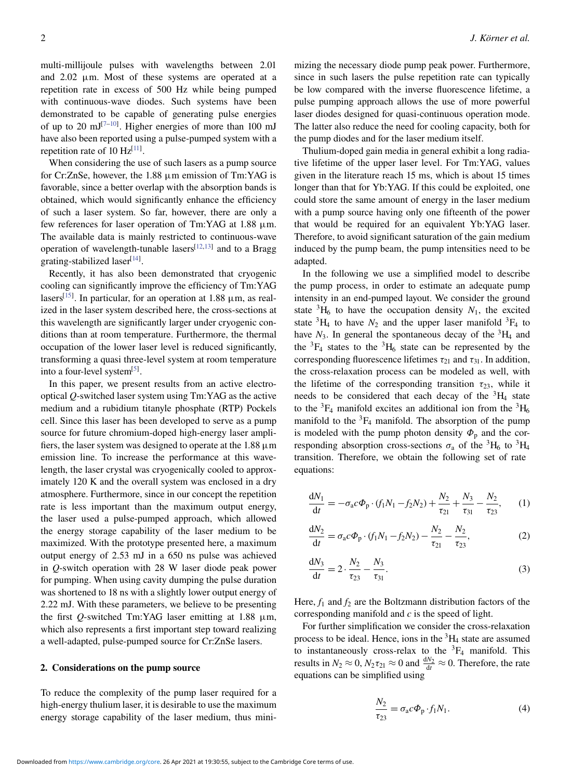multi-millijoule pulses with wavelengths between 2.01 and 2.02 µm. Most of these systems are operated at a repetition rate in excess of 500 Hz while being pumped with continuous-wave diodes. Such systems have been demonstrated to be capable of generating pulse energies of up to 20  $mJ^{[7-10]}$  $mJ^{[7-10]}$  $mJ^{[7-10]}$ . Higher energies of more than 100 mJ have also been reported using a pulse-pumped system with a repetition rate of 10  $Hz^{[11]}$  $Hz^{[11]}$  $Hz^{[11]}$ .

When considering the use of such lasers as a pump source for Cr:ZnSe, however, the 1.88 µm emission of Tm:YAG is favorable, since a better overlap with the absorption bands is obtained, which would significantly enhance the efficiency of such a laser system. So far, however, there are only a few references for laser operation of Tm:YAG at  $1.88 \mu m$ . The available data is mainly restricted to continuous-wave operation of wavelength-tunable lasers  $[12,13]$  $[12,13]$  and to a Bragg grating-stabilized laser[\[14\]](#page-5-11).

Recently, it has also been demonstrated that cryogenic cooling can significantly improve the efficiency of Tm:YAG lasers<sup>[\[15\]](#page-5-12)</sup>. In particular, for an operation at  $1.88 \mu m$ , as realized in the laser system described here, the cross-sections at this wavelength are significantly larger under cryogenic conditions than at room temperature. Furthermore, the thermal occupation of the lower laser level is reduced significantly, transforming a quasi three-level system at room temperature into a four-level system<sup>[\[5\]](#page-5-4)</sup>.

In this paper, we present results from an active electrooptical *Q*-switched laser system using Tm:YAG as the active medium and a rubidium titanyle phosphate (RTP) Pockels cell. Since this laser has been developed to serve as a pump source for future chromium-doped high-energy laser amplifiers, the laser system was designed to operate at the  $1.88 \mu m$ emission line. To increase the performance at this wavelength, the laser crystal was cryogenically cooled to approximately 120 K and the overall system was enclosed in a dry atmosphere. Furthermore, since in our concept the repetition rate is less important than the maximum output energy, the laser used a pulse-pumped approach, which allowed the energy storage capability of the laser medium to be maximized. With the prototype presented here, a maximum output energy of 2.53 mJ in a 650 ns pulse was achieved in *Q*-switch operation with 28 W laser diode peak power for pumping. When using cavity dumping the pulse duration was shortened to 18 ns with a slightly lower output energy of 2.22 mJ. With these parameters, we believe to be presenting the first  $Q$ -switched Tm:YAG laser emitting at 1.88  $\mu$ m, which also represents a first important step toward realizing a well-adapted, pulse-pumped source for Cr:ZnSe lasers.

#### 2. Considerations on the pump source

To reduce the complexity of the pump laser required for a high-energy thulium laser, it is desirable to use the maximum energy storage capability of the laser medium, thus minimizing the necessary diode pump peak power. Furthermore, since in such lasers the pulse repetition rate can typically be low compared with the inverse fluorescence lifetime, a pulse pumping approach allows the use of more powerful laser diodes designed for quasi-continuous operation mode. The latter also reduce the need for cooling capacity, both for the pump diodes and for the laser medium itself.

Thulium-doped gain media in general exhibit a long radiative lifetime of the upper laser level. For Tm:YAG, values given in the literature reach 15 ms, which is about 15 times longer than that for Yb:YAG. If this could be exploited, one could store the same amount of energy in the laser medium with a pump source having only one fifteenth of the power that would be required for an equivalent Yb:YAG laser. Therefore, to avoid significant saturation of the gain medium induced by the pump beam, the pump intensities need to be adapted.

In the following we use a simplified model to describe the pump process, in order to estimate an adequate pump intensity in an end-pumped layout. We consider the ground state  ${}^{3}H_{6}$  to have the occupation density  $N_{1}$ , the excited state  ${}^{3}H_{4}$  to have  $N_{2}$  and the upper laser manifold  ${}^{3}F_{4}$  to have  $N_3$ . In general the spontaneous decay of the <sup>3</sup>H<sub>4</sub> and the  ${}^{3}F_{4}$  states to the  ${}^{3}H_{6}$  state can be represented by the corresponding fluorescence lifetimes  $\tau_{21}$  and  $\tau_{31}$ . In addition, the cross-relaxation process can be modeled as well, with the lifetime of the corresponding transition  $\tau_{23}$ , while it needs to be considered that each decay of the  ${}^{3}H_{4}$  state to the  ${}^{3}F_{4}$  manifold excites an additional ion from the  ${}^{3}H_{6}$ manifold to the  ${}^{3}F_{4}$  manifold. The absorption of the pump is modeled with the pump photon density  $\Phi_p$  and the corresponding absorption cross-sections  $\sigma_a$  of the <sup>3</sup>H<sub>6</sub> to <sup>3</sup>H<sub>4</sub> transition. Therefore, we obtain the following set of rate equations:

$$
\frac{dN_1}{dt} = -\sigma_a c \Phi_p \cdot (f_1 N_1 - f_2 N_2) + \frac{N_2}{\tau_{21}} + \frac{N_3}{\tau_{31}} - \frac{N_2}{\tau_{23}},\qquad(1)
$$

$$
\frac{dN_2}{dt} = \sigma_a c \Phi_p \cdot (f_1 N_1 - f_2 N_2) - \frac{N_2}{\tau_{21}} - \frac{N_2}{\tau_{23}},
$$
(2)

$$
\frac{dN_3}{dt} = 2 \cdot \frac{N_2}{\tau_{23}} - \frac{N_3}{\tau_{31}}.
$$
 (3)

Here,  $f_1$  and  $f_2$  are the Boltzmann distribution factors of the corresponding manifold and *c* is the speed of light.

For further simplification we consider the cross-relaxation process to be ideal. Hence, ions in the  ${}^{3}H_{4}$  state are assumed to instantaneously cross-relax to the  ${}^{3}F_{4}$  manifold. This results in  $N_2 \approx 0$ ,  $N_2 \tau_{21} \approx 0$  and  $\frac{dN_2}{dt} \approx 0$ . Therefore, the rate equations can be simplified using

$$
\frac{N_2}{\tau_{23}} = \sigma_{\rm a} c \Phi_{\rm p} \cdot f_1 N_1. \tag{4}
$$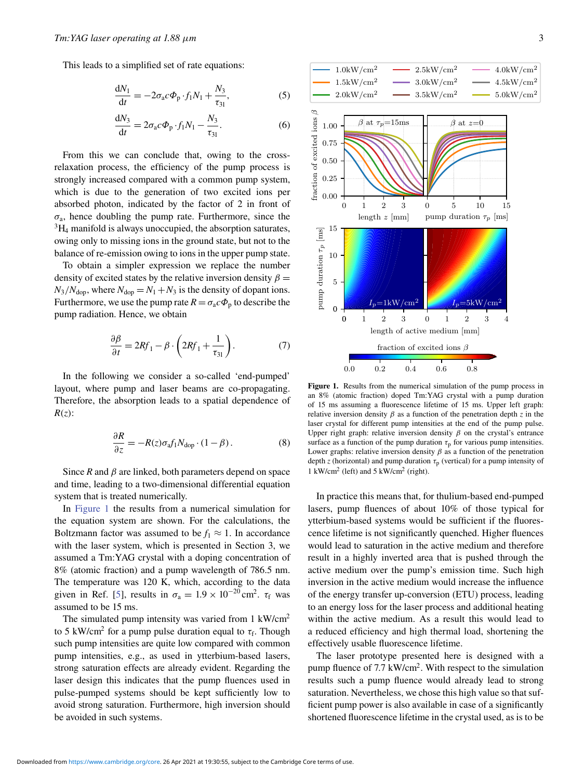This leads to a simplified set of rate equations:

$$
\frac{\mathrm{d}N_1}{\mathrm{d}t} = -2\sigma_\mathrm{a}c\Phi_\mathrm{p} \cdot f_1 N_1 + \frac{N_3}{\tau_{31}},\tag{5}
$$

$$
\frac{dN_3}{dt} = 2\sigma_a c \Phi_p \cdot f_1 N_1 - \frac{N_3}{\tau_{31}}.
$$
 (6)

From this we can conclude that, owing to the crossrelaxation process, the efficiency of the pump process is strongly increased compared with a common pump system, which is due to the generation of two excited ions per absorbed photon, indicated by the factor of 2 in front of  $\sigma_a$ , hence doubling the pump rate. Furthermore, since the  ${}^{3}H_{4}$  manifold is always unoccupied, the absorption saturates, owing only to missing ions in the ground state, but not to the balance of re-emission owing to ions in the upper pump state.

To obtain a simpler expression we replace the number density of excited states by the relative inversion density  $\beta =$  $N_3/N_{\text{dop}}$ , where  $N_{\text{dop}} = N_1 + N_3$  is the density of dopant ions. Furthermore, we use the pump rate  $R = \sigma_a c \Phi_p$  to describe the pump radiation. Hence, we obtain

$$
\frac{\partial \beta}{\partial t} = 2Rf_1 - \beta \cdot \left(2Rf_1 + \frac{1}{\tau_{31}}\right). \tag{7}
$$

In the following we consider a so-called 'end-pumped' layout, where pump and laser beams are co-propagating. Therefore, the absorption leads to a spatial dependence of *R*(*z*):

$$
\frac{\partial R}{\partial z} = -R(z)\sigma_{\rm a}f_1 N_{\rm dop} \cdot (1 - \beta). \tag{8}
$$

Since  $R$  and  $\beta$  are linked, both parameters depend on space and time, leading to a two-dimensional differential equation system that is treated numerically.

In [Figure 1](#page-2-0) the results from a numerical simulation for the equation system are shown. For the calculations, the Boltzmann factor was assumed to be  $f_1 \approx 1$ . In accordance with the laser system, which is presented in Section 3, we assumed a Tm:YAG crystal with a doping concentration of 8% (atomic fraction) and a pump wavelength of 786.5 nm. The temperature was 120 K, which, according to the data given in Ref. [\[5\]](#page-5-4), results in  $\sigma_a = 1.9 \times 10^{-20} \text{ cm}^2$ .  $\tau_f$  was assumed to be 15 ms.

The simulated pump intensity was varied from 1 kW/cm<sup>2</sup> to 5 kW/cm<sup>2</sup> for a pump pulse duration equal to  $\tau_f$ . Though such pump intensities are quite low compared with common pump intensities, e.g., as used in ytterbium-based lasers, strong saturation effects are already evident. Regarding the laser design this indicates that the pump fluences used in pulse-pumped systems should be kept sufficiently low to avoid strong saturation. Furthermore, high inversion should be avoided in such systems.

<span id="page-2-0"></span>

Figure 1. Results from the numerical simulation of the pump process in an 8% (atomic fraction) doped Tm:YAG crystal with a pump duration of 15 ms assuming a fluorescence lifetime of 15 ms. Upper left graph: relative inversion density  $\beta$  as a function of the penetration depth *z* in the laser crystal for different pump intensities at the end of the pump pulse. Upper right graph: relative inversion density  $\beta$  on the crystal's entrance surface as a function of the pump duration  $\tau_p$  for various pump intensities. Lower graphs: relative inversion density  $\beta$  as a function of the penetration depth *z* (horizontal) and pump duration  $\tau_p$  (vertical) for a pump intensity of 1 kW/cm<sup>2</sup> (left) and 5 kW/cm<sup>2</sup> (right).

In practice this means that, for thulium-based end-pumped lasers, pump fluences of about 10% of those typical for ytterbium-based systems would be sufficient if the fluorescence lifetime is not significantly quenched. Higher fluences would lead to saturation in the active medium and therefore result in a highly inverted area that is pushed through the active medium over the pump's emission time. Such high inversion in the active medium would increase the influence of the energy transfer up-conversion (ETU) process, leading to an energy loss for the laser process and additional heating within the active medium. As a result this would lead to a reduced efficiency and high thermal load, shortening the effectively usable fluorescence lifetime.

The laser prototype presented here is designed with a pump fluence of 7.7 kW/cm<sup>2</sup>. With respect to the simulation results such a pump fluence would already lead to strong saturation. Nevertheless, we chose this high value so that sufficient pump power is also available in case of a significantly shortened fluorescence lifetime in the crystal used, as is to be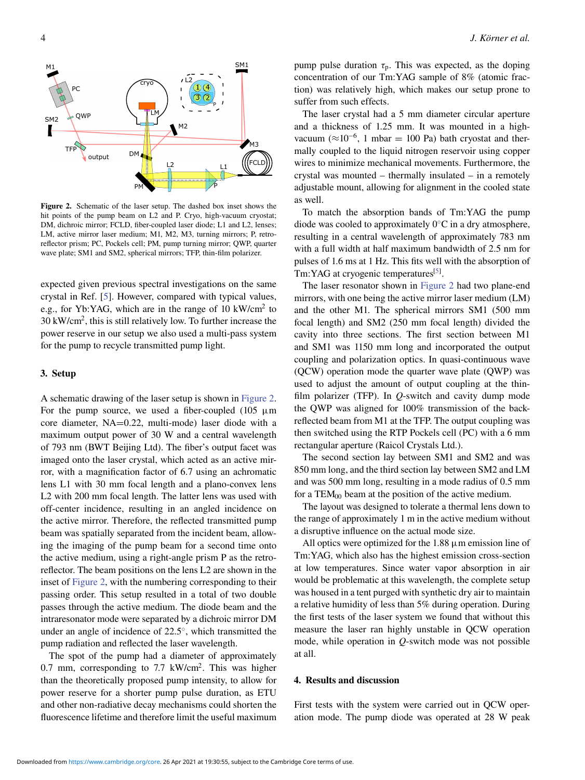<span id="page-3-0"></span>

Figure 2. Schematic of the laser setup. The dashed box inset shows the hit points of the pump beam on L2 and P. Cryo, high-vacuum cryostat; DM, dichroic mirror; FCLD, fiber-coupled laser diode; L1 and L2, lenses; LM, active mirror laser medium; M1, M2, M3, turning mirrors; P, retroreflector prism; PC, Pockels cell; PM, pump turning mirror; QWP, quarter wave plate; SM1 and SM2, spherical mirrors; TFP, thin-film polarizer.

expected given previous spectral investigations on the same crystal in Ref. [\[5\]](#page-5-4). However, compared with typical values, e.g., for Yb:YAG, which are in the range of 10 kW/cm<sup>2</sup> to 30 kW/cm<sup>2</sup> , this is still relatively low. To further increase the power reserve in our setup we also used a multi-pass system for the pump to recycle transmitted pump light.

#### 3. Setup

A schematic drawing of the laser setup is shown in [Figure 2.](#page-3-0) For the pump source, we used a fiber-coupled  $(105 \mu m)$ core diameter, NA=0.22, multi-mode) laser diode with a maximum output power of 30 W and a central wavelength of 793 nm (BWT Beijing Ltd). The fiber's output facet was imaged onto the laser crystal, which acted as an active mirror, with a magnification factor of 6.7 using an achromatic lens L1 with 30 mm focal length and a plano-convex lens L2 with 200 mm focal length. The latter lens was used with off-center incidence, resulting in an angled incidence on the active mirror. Therefore, the reflected transmitted pump beam was spatially separated from the incident beam, allowing the imaging of the pump beam for a second time onto the active medium, using a right-angle prism P as the retroreflector. The beam positions on the lens L2 are shown in the inset of [Figure 2,](#page-3-0) with the numbering corresponding to their passing order. This setup resulted in a total of two double passes through the active medium. The diode beam and the intraresonator mode were separated by a dichroic mirror DM under an angle of incidence of 22.5°, which transmitted the pump radiation and reflected the laser wavelength.

The spot of the pump had a diameter of approximately 0.7 mm, corresponding to  $7.7 \text{ kW/cm}^2$ . This was higher than the theoretically proposed pump intensity, to allow for power reserve for a shorter pump pulse duration, as ETU and other non-radiative decay mechanisms could shorten the fluorescence lifetime and therefore limit the useful maximum pump pulse duration  $\tau_p$ . This was expected, as the doping concentration of our Tm:YAG sample of 8% (atomic fraction) was relatively high, which makes our setup prone to suffer from such effects.

The laser crystal had a 5 mm diameter circular aperture and a thickness of 1.25 mm. It was mounted in a highvacuum ( $\approx$ 10<sup>-6</sup>, 1 mbar = 100 Pa) bath cryostat and thermally coupled to the liquid nitrogen reservoir using copper wires to minimize mechanical movements. Furthermore, the crystal was mounted – thermally insulated – in a remotely adjustable mount, allowing for alignment in the cooled state as well.

To match the absorption bands of Tm:YAG the pump diode was cooled to approximately  $0^{\circ}$ C in a dry atmosphere, resulting in a central wavelength of approximately 783 nm with a full width at half maximum bandwidth of 2.5 nm for pulses of 1.6 ms at 1 Hz. This fits well with the absorption of Tm:YAG at cryogenic temperatures<sup>[\[5\]](#page-5-4)</sup>.

The laser resonator shown in [Figure 2](#page-3-0) had two plane-end mirrors, with one being the active mirror laser medium (LM) and the other M1. The spherical mirrors SM1 (500 mm focal length) and SM2 (250 mm focal length) divided the cavity into three sections. The first section between M1 and SM1 was 1150 mm long and incorporated the output coupling and polarization optics. In quasi-continuous wave (QCW) operation mode the quarter wave plate (QWP) was used to adjust the amount of output coupling at the thinfilm polarizer (TFP). In *Q*-switch and cavity dump mode the QWP was aligned for 100% transmission of the backreflected beam from M1 at the TFP. The output coupling was then switched using the RTP Pockels cell (PC) with a 6 mm rectangular aperture (Raicol Crystals Ltd.).

The second section lay between SM1 and SM2 and was 850 mm long, and the third section lay between SM2 and LM and was 500 mm long, resulting in a mode radius of 0.5 mm for a  $TEM_{00}$  beam at the position of the active medium.

The layout was designed to tolerate a thermal lens down to the range of approximately 1 m in the active medium without a disruptive influence on the actual mode size.

All optics were optimized for the  $1.88 \mu m$  emission line of Tm:YAG, which also has the highest emission cross-section at low temperatures. Since water vapor absorption in air would be problematic at this wavelength, the complete setup was housed in a tent purged with synthetic dry air to maintain a relative humidity of less than 5% during operation. During the first tests of the laser system we found that without this measure the laser ran highly unstable in QCW operation mode, while operation in *Q*-switch mode was not possible at all.

## 4. Results and discussion

First tests with the system were carried out in QCW operation mode. The pump diode was operated at 28 W peak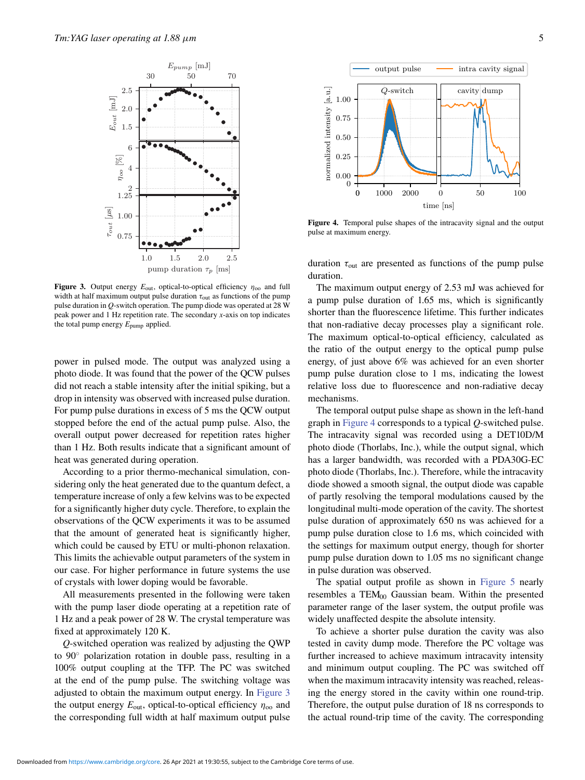<span id="page-4-0"></span>

Figure 3. Output energy  $E_{\text{out}}$ , optical-to-optical efficiency  $\eta_{\text{oo}}$  and full width at half maximum output pulse duration  $\tau_{\text{out}}$  as functions of the pump pulse duration in *Q*-switch operation. The pump diode was operated at 28 W peak power and 1 Hz repetition rate. The secondary *x*-axis on top indicates the total pump energy  $E_{\text{pump}}$  applied.

power in pulsed mode. The output was analyzed using a photo diode. It was found that the power of the QCW pulses did not reach a stable intensity after the initial spiking, but a drop in intensity was observed with increased pulse duration. For pump pulse durations in excess of 5 ms the QCW output stopped before the end of the actual pump pulse. Also, the overall output power decreased for repetition rates higher than 1 Hz. Both results indicate that a significant amount of heat was generated during operation.

According to a prior thermo-mechanical simulation, considering only the heat generated due to the quantum defect, a temperature increase of only a few kelvins was to be expected for a significantly higher duty cycle. Therefore, to explain the observations of the QCW experiments it was to be assumed that the amount of generated heat is significantly higher, which could be caused by ETU or multi-phonon relaxation. This limits the achievable output parameters of the system in our case. For higher performance in future systems the use of crystals with lower doping would be favorable.

All measurements presented in the following were taken with the pump laser diode operating at a repetition rate of 1 Hz and a peak power of 28 W. The crystal temperature was fixed at approximately 120 K.

*Q*-switched operation was realized by adjusting the QWP to 90◦ polarization rotation in double pass, resulting in a 100% output coupling at the TFP. The PC was switched at the end of the pump pulse. The switching voltage was adjusted to obtain the maximum output energy. In [Figure 3](#page-4-0) the output energy  $E_{\text{out}}$ , optical-to-optical efficiency  $\eta_{\text{oo}}$  and the corresponding full width at half maximum output pulse

<span id="page-4-1"></span>

Figure 4. Temporal pulse shapes of the intracavity signal and the output pulse at maximum energy.

duration  $\tau_{\text{out}}$  are presented as functions of the pump pulse duration.

The maximum output energy of 2.53 mJ was achieved for a pump pulse duration of 1.65 ms, which is significantly shorter than the fluorescence lifetime. This further indicates that non-radiative decay processes play a significant role. The maximum optical-to-optical efficiency, calculated as the ratio of the output energy to the optical pump pulse energy, of just above 6% was achieved for an even shorter pump pulse duration close to 1 ms, indicating the lowest relative loss due to fluorescence and non-radiative decay mechanisms.

The temporal output pulse shape as shown in the left-hand graph in [Figure 4](#page-4-1) corresponds to a typical *Q*-switched pulse. The intracavity signal was recorded using a DET10D/M photo diode (Thorlabs, Inc.), while the output signal, which has a larger bandwidth, was recorded with a PDA30G-EC photo diode (Thorlabs, Inc.). Therefore, while the intracavity diode showed a smooth signal, the output diode was capable of partly resolving the temporal modulations caused by the longitudinal multi-mode operation of the cavity. The shortest pulse duration of approximately 650 ns was achieved for a pump pulse duration close to 1.6 ms, which coincided with the settings for maximum output energy, though for shorter pump pulse duration down to 1.05 ms no significant change in pulse duration was observed.

The spatial output profile as shown in [Figure 5](#page-5-13) nearly resembles a  $TEM_{00}$  Gaussian beam. Within the presented parameter range of the laser system, the output profile was widely unaffected despite the absolute intensity.

To achieve a shorter pulse duration the cavity was also tested in cavity dump mode. Therefore the PC voltage was further increased to achieve maximum intracavity intensity and minimum output coupling. The PC was switched off when the maximum intracavity intensity was reached, releasing the energy stored in the cavity within one round-trip. Therefore, the output pulse duration of 18 ns corresponds to the actual round-trip time of the cavity. The corresponding